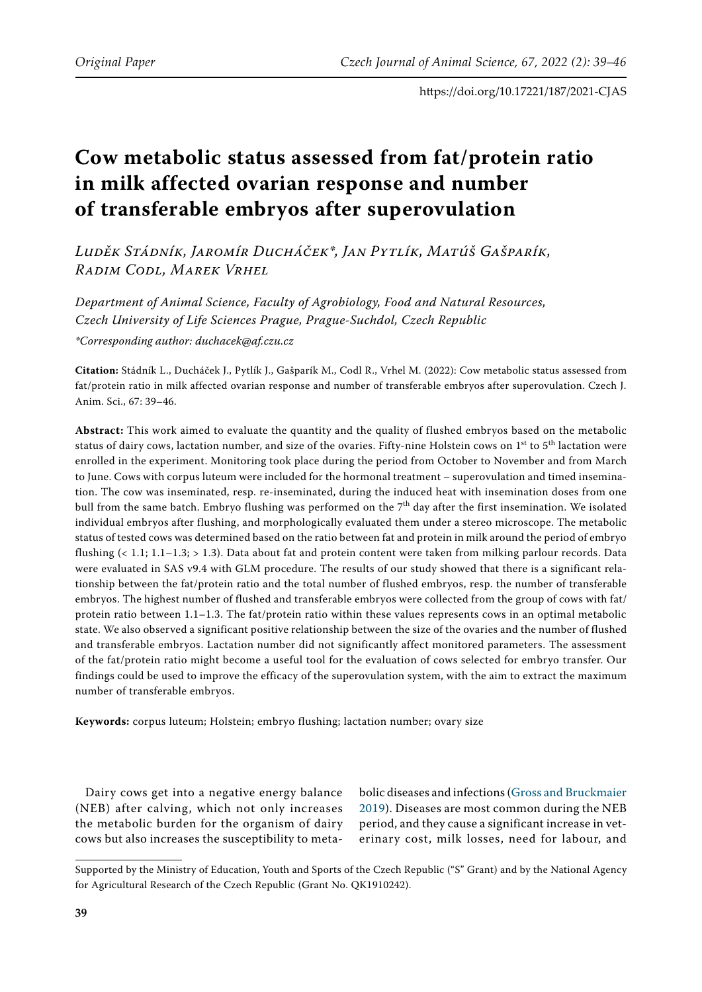# **Cow metabolic status assessed from fat/protein ratio in milk affected ovarian response and number of transferable embryos after superovulation**

*Luděk Stádník, Jaromír Ducháček\*, Jan Pytlík, Matúš Gašparík, Radim Codl, Marek Vrhel*

*Department of Animal Science, Faculty of Agrobiology, Food and Natural Resources, Czech University of Life Sciences Prague, Prague-Suchdol, Czech Republic \*Corresponding author: duchacek@af.czu.cz*

**Citation:** Stádník L., Ducháček J., Pytlík J., Gašparík M., Codl R., Vrhel M. (2022): Cow metabolic status assessed from fat/protein ratio in milk affected ovarian response and number of transferable embryos after superovulation. Czech J. Anim. Sci., 67: 39–46.

**Abstract:** This work aimed to evaluate the quantity and the quality of flushed embryos based on the metabolic status of dairy cows, lactation number, and size of the ovaries. Fifty-nine Holstein cows on  $1^{st}$  to  $5^{th}$  lactation were enrolled in the experiment. Monitoring took place during the period from October to November and from March to June. Cows with corpus luteum were included for the hormonal treatment – superovulation and timed insemination. The cow was inseminated, resp. re-inseminated, during the induced heat with insemination doses from one bull from the same batch. Embryo flushing was performed on the  $7<sup>th</sup>$  day after the first insemination. We isolated individual embryos after flushing, and morphologically evaluated them under a stereo microscope. The metabolic status of tested cows was determined based on the ratio between fat and protein in milk around the period of embryo flushing (< 1.1; 1.1–1.3; > 1.3). Data about fat and protein content were taken from milking parlour records. Data were evaluated in SAS v9.4 with GLM procedure. The results of our study showed that there is a significant relationship between the fat/protein ratio and the total number of flushed embryos, resp. the number of transferable embryos. The highest number of flushed and transferable embryos were collected from the group of cows with fat/ protein ratio between 1.1–1.3. The fat/protein ratio within these values represents cows in an optimal metabolic state. We also observed a significant positive relationship between the size of the ovaries and the number of flushed and transferable embryos. Lactation number did not significantly affect monitored parameters. The assessment of the fat/protein ratio might become a useful tool for the evaluation of cows selected for embryo transfer. Our findings could be used to improve the efficacy of the superovulation system, with the aim to extract the maximum number of transferable embryos.

**Keywords:** corpus luteum; Holstein; embryo flushing; lactation number; ovary size

Dairy cows get into a negative energy balance (NEB) after calving, which not only increases the metabolic burden for the organism of dairy cows but also increases the susceptibility to metabolic diseases and infections ([Gross and Bruckmaier](#page-6-0) [2019\)](#page-6-0). Diseases are most common during the NEB period, and they cause a significant increase in veterinary cost, milk losses, need for labour, and

Supported by the Ministry of Education, Youth and Sports of the Czech Republic ("S" Grant) and by the National Agency for Agricultural Research of the Czech Republic (Grant No. QK1910242).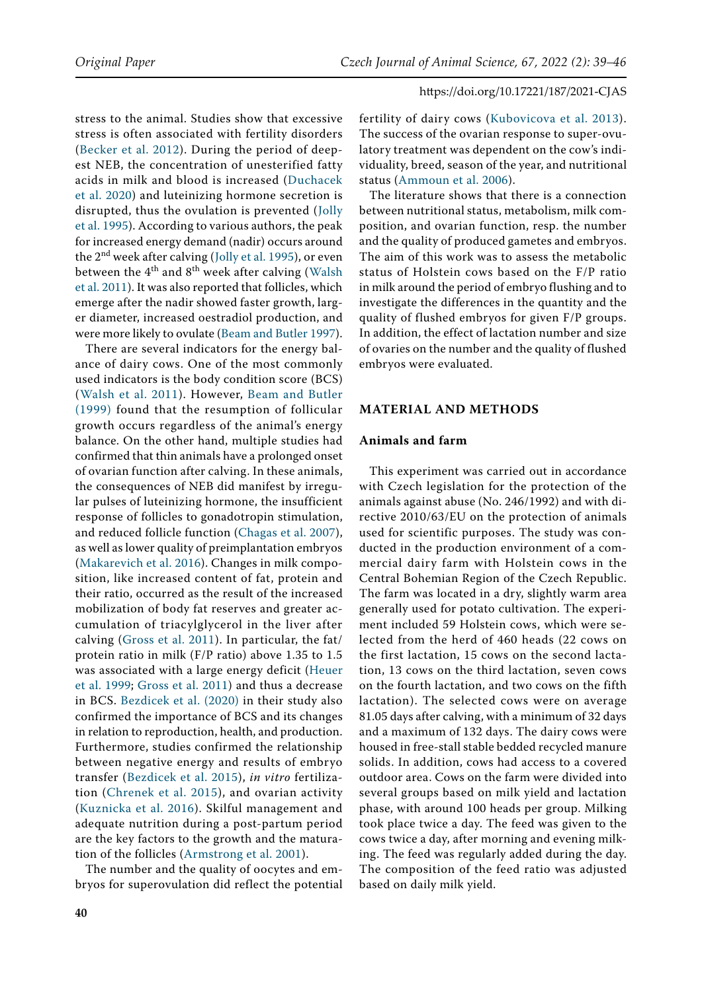stress to the animal. Studies show that excessive stress is often associated with fertility disorders ([Becker et al. 2012](#page-6-1)). During the period of deepest NEB, the concentration of unesterified fatty acids in milk and blood is increased ([Duchacek](#page-6-2)  [et al. 2020\)](#page-6-2) and luteinizing hormone secretion is disrupted, thus the ovulation is prevented ([Jolly](#page-7-0)  [et al. 1995\)](#page-7-0). According to various authors, the peak for increased energy demand (nadir) occurs around the 2<sup>nd</sup> week after calving ([Jolly et al. 1995](#page-7-0)), or even between the  $4<sup>th</sup>$  and  $8<sup>th</sup>$  week after calving (Walsh [et al. 2011](#page-7-1)). It was also reported that follicles, which emerge after the nadir showed faster growth, larger diameter, increased oestradiol production, and were more likely to ovulate ([Beam and Butler 1997\)](#page-6-3).

There are several indicators for the energy balance of dairy cows. One of the most commonly used indicators is the body condition score (BCS) ([Walsh et al. 2011](#page-7-1)). However, [Beam and Butler](#page-6-4)  [\(1999\)](#page-6-4) found that the resumption of follicular growth occurs regardless of the animal's energy balance. On the other hand, multiple studies had confirmed that thin animals have a prolonged onset of ovarian function after calving. In these animals, the consequences of NEB did manifest by irregular pulses of luteinizing hormone, the insufficient response of follicles to gonadotropin stimulation, and reduced follicle function ([Chagas et al. 2007\)](#page-6-5), as well as lower quality of preimplantation embryos [\(Makarevich et al. 2016](#page-7-2)). Changes in milk composition, like increased content of fat, protein and their ratio, occurred as the result of the increased mobilization of body fat reserves and greater accumulation of triacylglycerol in the liver after calving ([Gross et al. 2011](#page-6-6)). In particular, the fat/ protein ratio in milk (F/P ratio) above 1.35 to 1.5 was associated with a large energy deficit [\(Heuer](#page-6-7)  [et al. 1999](#page-6-7); [Gross et al. 2011\)](#page-6-6) and thus a decrease in BCS. [Bezdicek et al. \(2020\)](#page-6-8) in their study also confirmed the importance of BCS and its changes in relation to reproduction, health, and production. Furthermore, studies confirmed the relationship between negative energy and results of embryo transfer ([Bezdicek et al. 2015](#page-6-9)), *in vitro* fertilization ([Chrenek et al. 2015\)](#page-7-3), and ovarian activity ([Kuznicka et al. 2016\)](#page-7-4). Skilful management and adequate nutrition during a post-partum period are the key factors to the growth and the maturation of the follicles ([Armstrong et al. 2001\)](#page-6-10).

The number and the quality of oocytes and embryos for superovulation did reflect the potential fertility of dairy cows ([Kubovicova et al. 2013](#page-7-5)). The success of the ovarian response to super-ovulatory treatment was dependent on the cow's individuality, breed, season of the year, and nutritional status ([Ammoun et al. 2006](#page-6-11)).

The literature shows that there is a connection between nutritional status, metabolism, milk composition, and ovarian function, resp. the number and the quality of produced gametes and embryos. The aim of this work was to assess the metabolic status of Holstein cows based on the F/P ratio in milk around the period of embryo flushing and to investigate the differences in the quantity and the quality of flushed embryos for given F/P groups. In addition, the effect of lactation number and size of ovaries on the number and the quality of flushed embryos were evaluated.

#### **MATERIAL AND METHODS**

#### **Animals and farm**

This experiment was carried out in accordance with Czech legislation for the protection of the animals against abuse (No. 246/1992) and with directive 2010/63/EU on the protection of animals used for scientific purposes. The study was conducted in the production environment of a commercial dairy farm with Holstein cows in the Central Bohemian Region of the Czech Republic. The farm was located in a dry, slightly warm area generally used for potato cultivation. The experiment included 59 Holstein cows, which were selected from the herd of 460 heads (22 cows on the first lactation, 15 cows on the second lactation, 13 cows on the third lactation, seven cows on the fourth lactation, and two cows on the fifth lactation). The selected cows were on average 81.05 days after calving, with a minimum of 32 days and a maximum of 132 days. The dairy cows were housed in free-stall stable bedded recycled manure solids. In addition, cows had access to a covered outdoor area. Cows on the farm were divided into several groups based on milk yield and lactation phase, with around 100 heads per group. Milking took place twice a day. The feed was given to the cows twice a day, after morning and evening milking. The feed was regularly added during the day. The composition of the feed ratio was adjusted based on daily milk yield.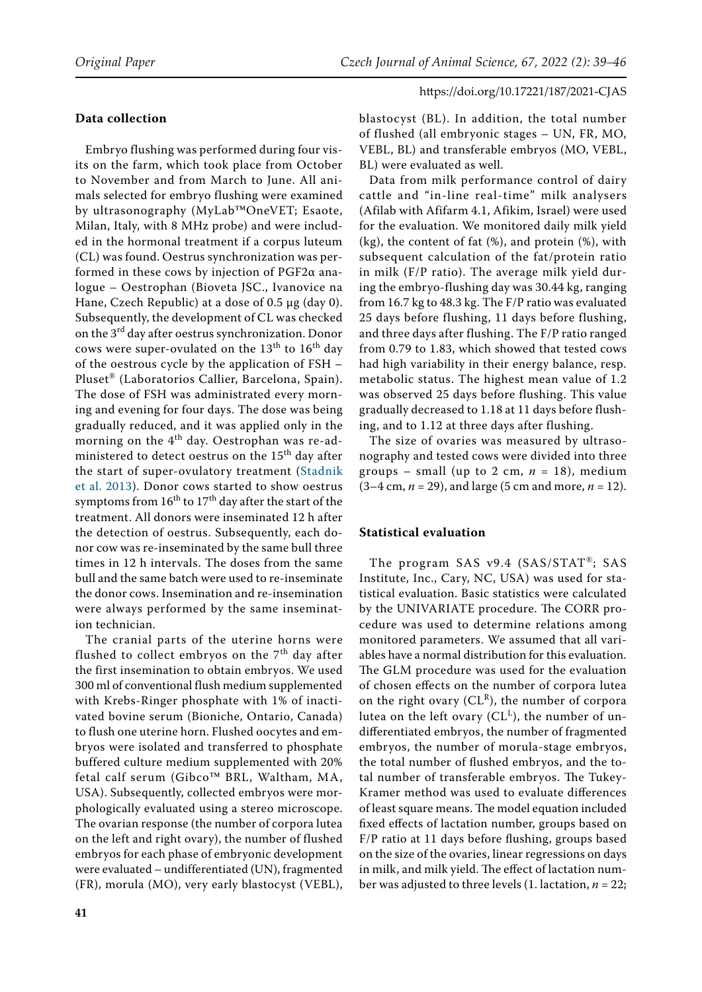## **Data collection**

Embryo flushing was performed during four visits on the farm, which took place from October to November and from March to June. All animals selected for embryo flushing were examined by ultrasonography (MyLab™OneVET; Esaote, Milan, Italy, with 8 MHz probe) and were included in the hormonal treatment if a corpus luteum (CL) was found. Oestrus synchronization was performed in these cows by injection of PGF2α analogue – Oestrophan (Bioveta JSC., Ivanovice na Hane, Czech Republic) at a dose of 0.5 μg (day 0). Subsequently, the development of CL was checked on the 3<sup>rd</sup> day after oestrus synchronization. Donor cows were super-ovulated on the  $13^{th}$  to  $16^{th}$  day of the oestrous cycle by the application of FSH – Pluset® (Laboratorios Callier, Barcelona, Spain). The dose of FSH was administrated every morning and evening for four days. The dose was being gradually reduced, and it was applied only in the morning on the 4<sup>th</sup> day. Oestrophan was re-administered to detect oestrus on the 15<sup>th</sup> day after the start of super-ovulatory treatment ([Stadnik](#page-7-6)  [et al. 2013](#page-7-6)). Donor cows started to show oestrus symptoms from  $16^{th}$  to  $17^{th}$  day after the start of the treatment. All donors were inseminated 12 h after the detection of oestrus. Subsequently, each donor cow was re-inseminated by the same bull three times in 12 h intervals. The doses from the same bull and the same batch were used to re-inseminate the donor cows. Insemination and re-insemination were always performed by the same insemination technician.

The cranial parts of the uterine horns were flushed to collect embryos on the  $7<sup>th</sup>$  day after the first insemination to obtain embryos. We used 300 ml of conventional flush medium supplemented with Krebs-Ringer phosphate with 1% of inactivated bovine serum (Bioniche, Ontario, Canada) to flush one uterine horn. Flushed oocytes and embryos were isolated and transferred to phosphate buffered culture medium supplemented with 20% fetal calf serum (Gibco™ BRL, Waltham, MA, USA). Subsequently, collected embryos were morphologically evaluated using a stereo microscope. The ovarian response (the number of corpora lutea on the left and right ovary), the number of flushed embryos for each phase of embryonic development were evaluated – undifferentiated (UN), fragmented (FR), morula (MO), very early blastocyst (VEBL), blastocyst (BL). In addition, the total number of flushed (all embryonic stages – UN, FR, MO, VEBL, BL) and transferable embryos (MO, VEBL, BL) were evaluated as well.

Data from milk performance control of dairy cattle and "in-line real-time" milk analysers (Afilab with Afifarm 4.1, Afikim, Israel) were used for the evaluation. We monitored daily milk yield (kg), the content of fat (%), and protein (%), with subsequent calculation of the fat/protein ratio in milk (F/P ratio). The average milk yield during the embryo-flushing day was 30.44 kg, ranging from 16.7 kg to 48.3 kg. The F/P ratio was evaluated 25 days before flushing, 11 days before flushing, and three days after flushing. The F/P ratio ranged from 0.79 to 1.83, which showed that tested cows had high variability in their energy balance, resp. metabolic status. The highest mean value of 1.2 was observed 25 days before flushing. This value gradually decreased to 1.18 at 11 days before flushing, and to 1.12 at three days after flushing.

The size of ovaries was measured by ultrasonography and tested cows were divided into three groups – small (up to 2 cm,  $n = 18$ ), medium (3–4 cm, *n* = 29), and large (5 cm and more, *n* = 12).

## **Statistical evaluation**

The program SAS v9.4 (SAS/STAT®; SAS Institute, Inc., Cary, NC, USA) was used for statistical evaluation. Basic statistics were calculated by the UNIVARIATE procedure. The CORR procedure was used to determine relations among monitored parameters. We assumed that all variables have a normal distribution for this evaluation. The GLM procedure was used for the evaluation of chosen effects on the number of corpora lutea on the right ovary  $(CL<sup>R</sup>)$ , the number of corpora lutea on the left ovary  $(CL^L)$ , the number of undifferentiated embryos, the number of fragmented embryos, the number of morula-stage embryos, the total number of flushed embryos, and the total number of transferable embryos. The Tukey-Kramer method was used to evaluate differences of least square means. The model equation included fixed effects of lactation number, groups based on F/P ratio at 11 days before flushing, groups based on the size of the ovaries, linear regressions on days in milk, and milk yield. The effect of lactation number was adjusted to three levels (1. lactation, *n* = 22;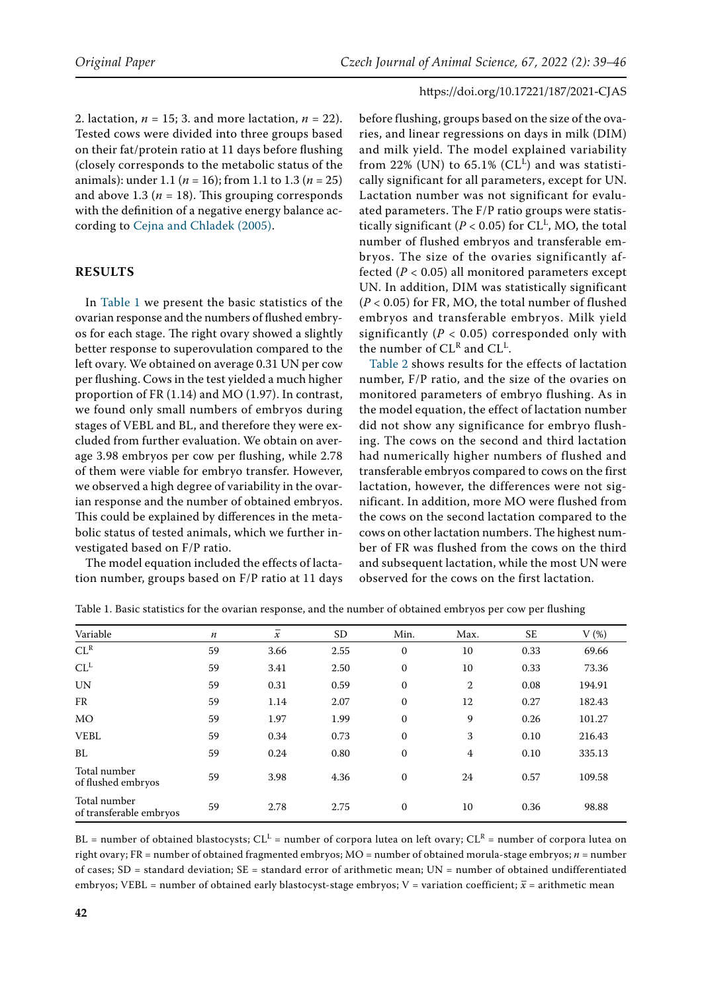2. lactation, *n* = 15; 3. and more lactation, *n* = 22). Tested cows were divided into three groups based on their fat/protein ratio at 11 days before flushing (closely corresponds to the metabolic status of the animals): under 1.1 (*n* = 16); from 1.1 to 1.3 (*n* = 25) and above 1.3 ( $n = 18$ ). This grouping corresponds with the definition of a negative energy balance according to [Cejna and Chladek \(2005\)](#page-6-12).

## **RESULTS**

In Table 1 we present the basic statistics of the ovarian response and the numbers of flushed embryos for each stage. The right ovary showed a slightly better response to superovulation compared to the left ovary. We obtained on average 0.31 UN per cow per flushing. Cows in the test yielded a much higher proportion of FR (1.14) and MO (1.97). In contrast, we found only small numbers of embryos during stages of VEBL and BL, and therefore they were excluded from further evaluation. We obtain on average 3.98 embryos per cow per flushing, while 2.78 of them were viable for embryo transfer. However, we observed a high degree of variability in the ovarian response and the number of obtained embryos. This could be explained by differences in the metabolic status of tested animals, which we further investigated based on F/P ratio.

The model equation included the effects of lactation number, groups based on F/P ratio at 11 days

before flushing, groups based on the size of the ovaries, and linear regressions on days in milk (DIM) and milk yield. The model explained variability from 22% (UN) to  $65.1\%$  (CL<sup>L</sup>) and was statistically significant for all parameters, except for UN. Lactation number was not significant for evaluated parameters. The F/P ratio groups were statistically significant ( $P < 0.05$ ) for CL<sup>L</sup>, MO, the total number of flushed embryos and transferable embryos. The size of the ovaries significantly affected  $(P < 0.05)$  all monitored parameters except UN. In addition, DIM was statistically significant (*P* < 0.05) for FR, MO, the total number of flushed embryos and transferable embryos. Milk yield significantly ( $P < 0.05$ ) corresponded only with the number of  $CL^R$  and  $CL^L$ .

Table 2 shows results for the effects of lactation number, F/P ratio, and the size of the ovaries on monitored parameters of embryo flushing. As in the model equation, the effect of lactation number did not show any significance for embryo flushing. The cows on the second and third lactation had numerically higher numbers of flushed and transferable embryos compared to cows on the first lactation, however, the differences were not significant. In addition, more MO were flushed from the cows on the second lactation compared to the cows on other lactation numbers. The highest number of FR was flushed from the cows on the third and subsequent lactation, while the most UN were observed for the cows on the first lactation.

| Variable                                | $\boldsymbol{n}$ | $\overline{x}$ | SD.  | Min.             | Max.           | <b>SE</b> | $V(\%)$ |
|-----------------------------------------|------------------|----------------|------|------------------|----------------|-----------|---------|
| $CL^R$                                  | 59               | 3.66           | 2.55 | $\boldsymbol{0}$ | 10             | 0.33      | 69.66   |
| $CL^L$                                  | 59               | 3.41           | 2.50 | 0                | 10             | 0.33      | 73.36   |
| <b>UN</b>                               | 59               | 0.31           | 0.59 | $\mathbf{0}$     | $\overline{2}$ | 0.08      | 194.91  |
| FR                                      | 59               | 1.14           | 2.07 | $\mathbf{0}$     | 12             | 0.27      | 182.43  |
| <b>MO</b>                               | 59               | 1.97           | 1.99 | $\boldsymbol{0}$ | 9              | 0.26      | 101.27  |
| <b>VEBL</b>                             | 59               | 0.34           | 0.73 | $\mathbf{0}$     | 3              | 0.10      | 216.43  |
| BL                                      | 59               | 0.24           | 0.80 | 0                | 4              | 0.10      | 335.13  |
| Total number<br>of flushed embryos      | 59               | 3.98           | 4.36 | $\mathbf{0}$     | 24             | 0.57      | 109.58  |
| Total number<br>of transferable embryos | 59               | 2.78           | 2.75 | $\mathbf{0}$     | 10             | 0.36      | 98.88   |

Table 1. Basic statistics for the ovarian response, and the number of obtained embryos per cow per flushing

BL = number of obtained blastocysts;  $CL^L$  = number of corpora lutea on left ovary;  $CL^R$  = number of corpora lutea on right ovary; FR = number of obtained fragmented embryos; MO = number of obtained morula-stage embryos; *n* = number of cases; SD = standard deviation; SE = standard error of arithmetic mean; UN = number of obtained undifferentiated embryos; VEBL = number of obtained early blastocyst-stage embryos; V = variation coefficient;  $\bar{x}$  = arithmetic mean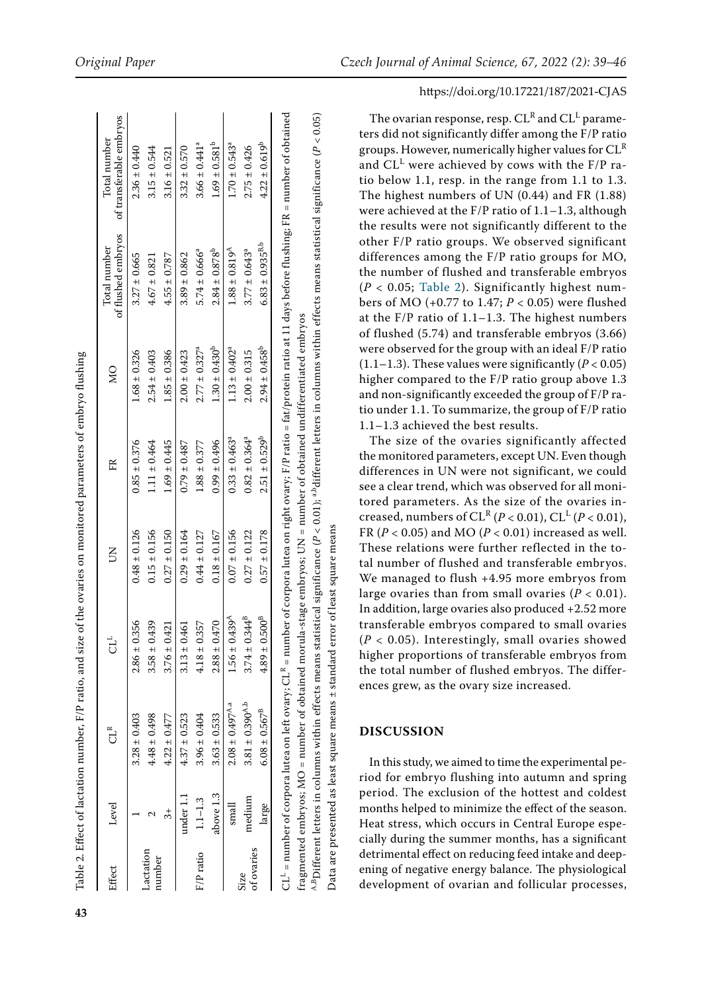| Effect                    | Level         | $GL^{\alpha}$                                                                                                      | t                                | $\Xi$            | E                             | $\overline{\mathsf{M}}$       | of flushed embryos<br>Total number | of transferable embryos<br>Total number                                                                                                                                                                |
|---------------------------|---------------|--------------------------------------------------------------------------------------------------------------------|----------------------------------|------------------|-------------------------------|-------------------------------|------------------------------------|--------------------------------------------------------------------------------------------------------------------------------------------------------------------------------------------------------|
|                           |               | $3.28 \pm 0.403$                                                                                                   | $2.86 \pm 0.356$                 | $0.48 \pm 0.126$ | $0.85 \pm 0.376$              | $1.68 \pm 0.326$              | $3.27 \pm 0.665$                   | $2.36 \pm 0.440$                                                                                                                                                                                       |
| Lactation<br>number       |               | $4.48 \pm 0.498$                                                                                                   | $3.58 \pm 0.439$                 | $0.15 \pm 0.156$ | $1.11 \pm 0.464$              | $2.54 \pm 0.403$              | $4.67 \pm 0.821$                   | $3.15 \pm 0.544$                                                                                                                                                                                       |
|                           | $\frac{4}{3}$ | $4.22 \pm 0.477$                                                                                                   | $3.76 \pm 0.421$                 | $0.27 \pm 0.150$ | $1.69 \pm 0.445$              | $1.85 \pm 0.386$              | $4.55 \pm 0.787$                   | $3.16 \pm 0.521$                                                                                                                                                                                       |
|                           | under 1.1     | $4.37 \pm 0.523$                                                                                                   | $\frac{461}{5}$<br>$3.13 \pm 0.$ | $0.29 \pm 0.164$ | $0.79 \pm 0.487$              | $2.00 \pm 0.423$              | $3.89 \pm 0.862$                   | $3.32 \pm 0.570$                                                                                                                                                                                       |
| F/P ratio                 | $1.1 - 1.3$   | $3.96 \pm 0.404$                                                                                                   | $4.18 \pm 0.357$                 | $0.44 \pm 0.127$ | $1.88 \pm 0.377$              | $2.77 \pm 0.327^a$            | $5.74 \pm 0.666^a$                 | $3.66 \pm 0.441$ <sup>a</sup>                                                                                                                                                                          |
|                           | above 1.3     | $3.63 \pm 0.533$                                                                                                   | $2.88 \pm 0.470$                 | $0.18 \pm 0.167$ | $0.99 \pm 0.496$              | $1.30 \pm 0.430^b$            | $2.84 \pm 0.878^p$                 | $1.69 \pm 0.581^b$                                                                                                                                                                                     |
|                           | small         | $2.08 \pm 0.497$ <sup>A,a</sup>                                                                                    | $1.56 \pm 0.439$ <sup>A</sup>    | $0.07 \pm 0.156$ | $0.33 \pm 0.463$ <sup>a</sup> | $1.13 \pm 0.402$ <sup>a</sup> | $1.88 \pm 0.819$ <sup>A</sup>      | $1.70 \pm 0.543$ <sup>a</sup>                                                                                                                                                                          |
| of ovaries<br><b>Size</b> | medium        | $3.81 \pm 0.390^{A,b}$                                                                                             | $3.74 \pm 0.344^{B}$             | $0.27 \pm 0.122$ | $0.82 \pm 0.364$ <sup>a</sup> | $2.00 \pm 0.315$              | $3.77 \pm 0.643$ <sup>a</sup>      | $2.75 \pm 0.426$                                                                                                                                                                                       |
|                           | large         | $6.08 \pm 0.567^{\rm B}$                                                                                           | $0.500^{18}$<br>$4.89 \pm 0.$    | $0.57 \pm 0.178$ | $2.51 \pm 0.529^{b}$          | $2.94 \pm 0.458^b$            | $6.83 \pm 0.935^{B,b}$             | $4.22 \pm 0.619^b$                                                                                                                                                                                     |
|                           |               | fragmented embryos; MO = number of obtained morula-stage embryos; UN = number of obtained undifferentiated embryos |                                  |                  |                               |                               |                                    | $\mathrm{CL^{L}}$ = number of corporalutea on left ovary; $\mathrm{CL^{R}}$ = number of corporalutea on right ovary; F/P ratio = fat/protein ratio at 11 days before flushing; FR = number of obtained |

**43**

*PDifferent letters in columns within effects means statistical significance (P < 0.01); <sup>a,b</sup>different letters in columns within effects means statistical significance (P < 0.05) P* < 0.01); <sup>a,b</sup>different letters in columns within effects means statistical significance ( Data are presented as least square means ± standard error of least square means Data are presented as least square means ± standard error of least square means $^{A,B}$ Different letters in columns within effects means statistical significance (

#### https://doi.org/10.17221/187/2021-CJAS

The ovarian response, resp.  $CL^R$  and  $CL^L$  parameters did not significantly differ among the F/P ratio groups. However, numerically higher values for  $CL<sup>R</sup>$ and CL<sup>L</sup> were achieved by cows with the F/P ratio below 1.1, resp. in the range from 1.1 to 1.3. The highest numbers of UN (0.44) and FR (1.88) were achieved at the F/P ratio of 1.1–1.3, although the results were not significantly different to the other F/P ratio groups. We observed significant differences among the F/P ratio groups for MO, the number of flushed and transferable embryos  $(P < 0.05$ ; Table 2). Significantly highest numbers of MO (+0.77 to 1.47; *P* < 0.05) were flushed at the F/P ratio of 1.1–1.3. The highest numbers of flushed (5.74) and transferable embryos (3.66) were observed for the group with an ideal F/P ratio (1.1–1.3). These values were significantly  $(P < 0.05)$ higher compared to the F/P ratio group above 1.3 and non-significantly exceeded the group of F/P ratio under 1.1. To summarize, the group of F/P ratio 1.1–1.3 achieved the best results.

The size of the ovaries significantly affected the monitored parameters, except UN. Even though differences in UN were not significant, we could see a clear trend, which was observed for all monitored parameters. As the size of the ovaries increased, numbers of CL<sup>R</sup> (*P* < 0.01), CL<sup>L</sup> (*P* < 0.01), FR (*P* < 0.05) and MO (*P* < 0.01) increased as well. These relations were further reflected in the total number of flushed and transferable embryos. We managed to flush +4.95 more embryos from large ovaries than from small ovaries  $(P < 0.01)$ . In addition, large ovaries also produced +2.52 more transferable embryos compared to small ovaries  $(P < 0.05)$ . Interestingly, small ovaries showed higher proportions of transferable embryos from the total number of flushed embryos. The differences grew, as the ovary size increased.

## **DISCUSSION**

In this study, we aimed to time the experimental period for embryo flushing into autumn and spring period. The exclusion of the hottest and coldest months helped to minimize the effect of the season. Heat stress, which occurs in Central Europe especially during the summer months, has a significant detrimental effect on reducing feed intake and deepening of negative energy balance. The physiological development of ovarian and follicular processes,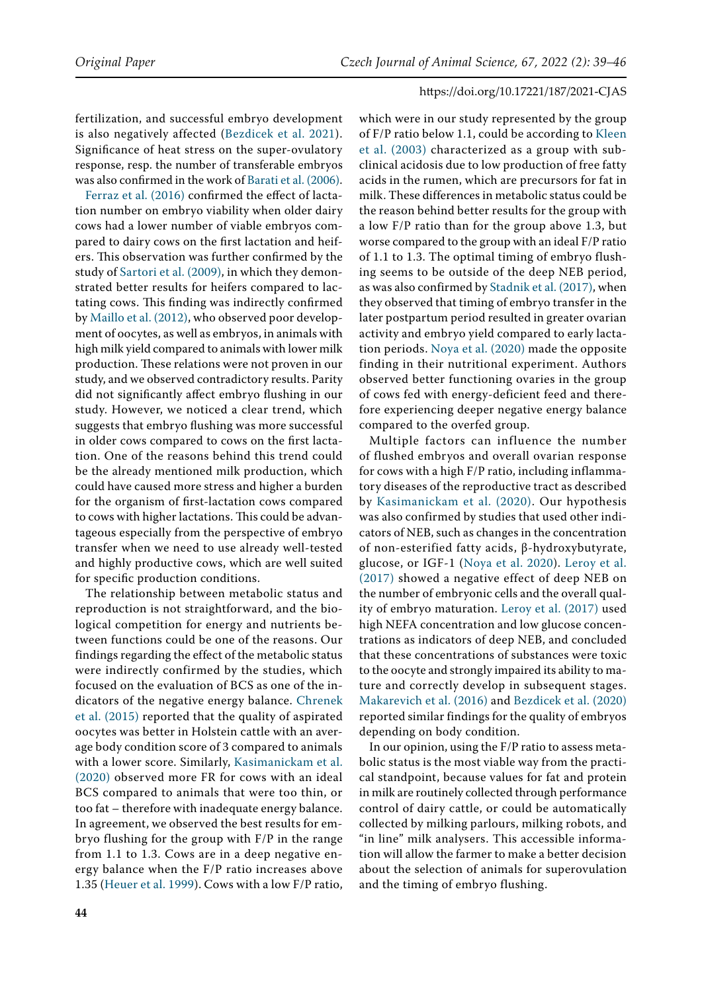fertilization, and successful embryo development is also negatively affected ([Bezdicek et al. 2021](#page-6-13)). Significance of heat stress on the super-ovulatory response, resp. the number of transferable embryos was also confirmed in the work of [Barati et al. \(2006\)](#page-6-14).

[Ferraz et al. \(2016\)](#page-6-15) confirmed the effect of lactation number on embryo viability when older dairy cows had a lower number of viable embryos compared to dairy cows on the first lactation and heifers. This observation was further confirmed by the study of [Sartori et al. \(2009\),](#page-7-12) in which they demonstrated better results for heifers compared to lactating cows. This finding was indirectly confirmed by [Maillo et al. \(2012\)](#page-7-13), who observed poor development of oocytes, as well as embryos, in animals with high milk yield compared to animals with lower milk production. These relations were not proven in our study, and we observed contradictory results. Parity did not significantly affect embryo flushing in our study. However, we noticed a clear trend, which suggests that embryo flushing was more successful in older cows compared to cows on the first lactation. One of the reasons behind this trend could be the already mentioned milk production, which could have caused more stress and higher a burden for the organism of first-lactation cows compared to cows with higher lactations. This could be advantageous especially from the perspective of embryo transfer when we need to use already well-tested and highly productive cows, which are well suited for specific production conditions.

The relationship between metabolic status and reproduction is not straightforward, and the biological competition for energy and nutrients between functions could be one of the reasons. Our findings regarding the effect of the metabolic status were indirectly confirmed by the studies, which focused on the evaluation of BCS as one of the indicators of the negative energy balance. [Chrenek](#page-7-3)  [et al. \(2015\)](#page-7-3) reported that the quality of aspirated oocytes was better in Holstein cattle with an average body condition score of 3 compared to animals with a lower score. Similarly, [Kasimanickam et al.](#page-7-10)  [\(2020\)](#page-7-10) observed more FR for cows with an ideal BCS compared to animals that were too thin, or too fat – therefore with inadequate energy balance. In agreement, we observed the best results for embryo flushing for the group with F/P in the range from 1.1 to 1.3. Cows are in a deep negative energy balance when the F/P ratio increases above 1.35 ([Heuer et al. 1999\)](#page-6-7). Cows with a low F/P ratio,

which were in our study represented by the group of F/P ratio below 1.1, could be according to [Kleen](#page-7-7) [et al. \(2003\)](#page-7-7) characterized as a group with subclinical acidosis due to low production of free fatty acids in the rumen, which are precursors for fat in milk. These differences in metabolic status could be the reason behind better results for the group with a low F/P ratio than for the group above 1.3, but worse compared to the group with an ideal F/P ratio of 1.1 to 1.3. The optimal timing of embryo flushing seems to be outside of the deep NEB period, as was also confirmed by [Stadnik et al. \(2017\),](#page-7-8) when they observed that timing of embryo transfer in the later postpartum period resulted in greater ovarian activity and embryo yield compared to early lactation periods. [Noya et al. \(2020\)](#page-7-9) made the opposite finding in their nutritional experiment. Authors observed better functioning ovaries in the group of cows fed with energy-deficient feed and therefore experiencing deeper negative energy balance compared to the overfed group.

Multiple factors can influence the number of flushed embryos and overall ovarian response for cows with a high F/P ratio, including inflammatory diseases of the reproductive tract as described by [Kasimanickam et al. \(2020\)](#page-7-10). Our hypothesis was also confirmed by studies that used other indicators of NEB, such as changes in the concentration of non-esterified fatty acids, β-hydroxybutyrate, glucose, or IGF-1 ([Noya et al. 2020](#page-7-9)). [Leroy et al.](#page-7-11) [\(2017\)](#page-7-11) showed a negative effect of deep NEB on the number of embryonic cells and the overall quality of embryo maturation. [Leroy et al. \(2017\)](#page-7-11) used high NEFA concentration and low glucose concentrations as indicators of deep NEB, and concluded that these concentrations of substances were toxic to the oocyte and strongly impaired its ability to mature and correctly develop in subsequent stages. [Makarevich et al. \(2016\)](#page-7-2) and [Bezdicek et al. \(2020\)](#page-6-8) reported similar findings for the quality of embryos depending on body condition.

In our opinion, using the F/P ratio to assess metabolic status is the most viable way from the practical standpoint, because values for fat and protein in milk are routinely collected through performance control of dairy cattle, or could be automatically collected by milking parlours, milking robots, and "in line" milk analysers. This accessible information will allow the farmer to make a better decision about the selection of animals for superovulation and the timing of embryo flushing.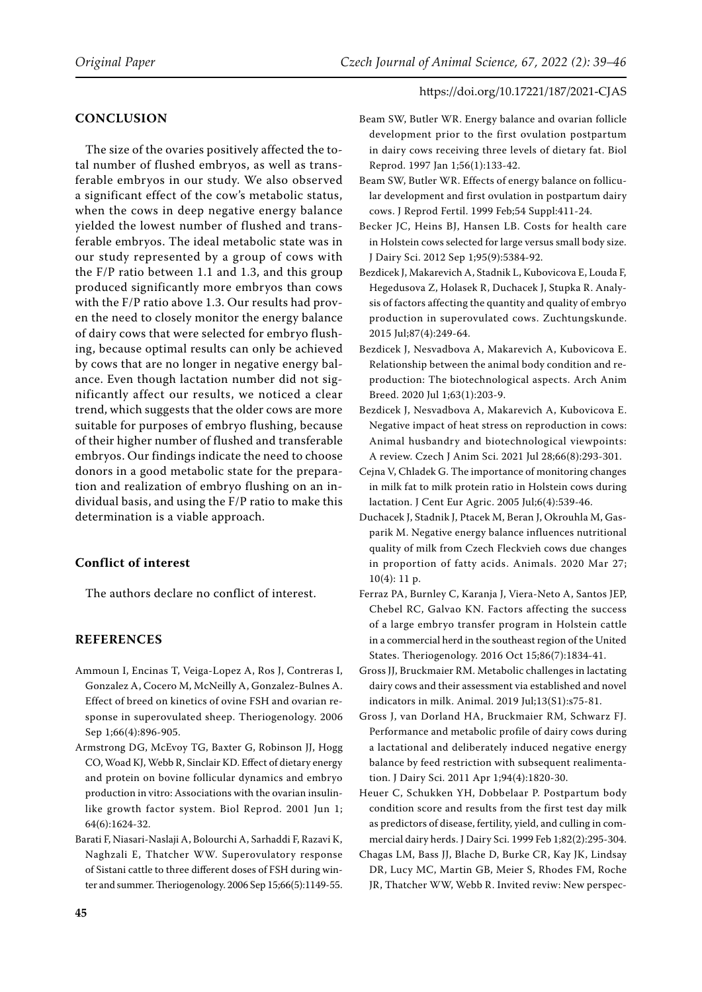## **CONCLUSION**

The size of the ovaries positively affected the total number of flushed embryos, as well as transferable embryos in our study. We also observed a significant effect of the cow's metabolic status, when the cows in deep negative energy balance yielded the lowest number of flushed and transferable embryos. The ideal metabolic state was in our study represented by a group of cows with the F/P ratio between 1.1 and 1.3, and this group produced significantly more embryos than cows with the F/P ratio above 1.3. Our results had proven the need to closely monitor the energy balance of dairy cows that were selected for embryo flushing, because optimal results can only be achieved by cows that are no longer in negative energy balance. Even though lactation number did not significantly affect our results, we noticed a clear trend, which suggests that the older cows are more suitable for purposes of embryo flushing, because of their higher number of flushed and transferable embryos. Our findings indicate the need to choose donors in a good metabolic state for the preparation and realization of embryo flushing on an individual basis, and using the F/P ratio to make this determination is a viable approach.

# **Conflict of interest**

The authors declare no conflict of interest.

# **References**

- <span id="page-6-11"></span>Ammoun I, Encinas T, Veiga-Lopez A, Ros J, Contreras I, Gonzalez A, Cocero M, McNeilly A, Gonzalez-Bulnes A. Effect of breed on kinetics of ovine FSH and ovarian response in superovulated sheep. Theriogenology. 2006 Sep 1;66(4):896-905.
- <span id="page-6-10"></span>Armstrong DG, McEvoy TG, Baxter G, Robinson JJ, Hogg CO, Woad KJ, Webb R, Sinclair KD. Effect of dietary energy and protein on bovine follicular dynamics and embryo production in vitro: Associations with the ovarian insulinlike growth factor system. Biol Reprod. 2001 Jun 1; 64(6):1624-32.
- <span id="page-6-14"></span>Barati F, Niasari-Naslaji A, Bolourchi A, Sarhaddi F, Razavi K, Naghzali E, Thatcher WW. Superovulatory response of Sistani cattle to three different doses of FSH during winter and summer. Theriogenology. 2006 Sep 15;66(5):1149-55.
- <span id="page-6-3"></span>Beam SW, Butler WR. Energy balance and ovarian follicle development prior to the first ovulation postpartum in dairy cows receiving three levels of dietary fat. Biol Reprod. 1997 Jan 1;56(1):133-42.
- <span id="page-6-4"></span>Beam SW, Butler WR. Effects of energy balance on follicular development and first ovulation in postpartum dairy cows. J Reprod Fertil. 1999 Feb;54 Suppl:411-24.
- <span id="page-6-1"></span>Becker JC, Heins BJ, Hansen LB. Costs for health care in Holstein cows selected for large versus small body size. J Dairy Sci. 2012 Sep 1;95(9):5384-92.
- <span id="page-6-9"></span>Bezdicek J, Makarevich A, Stadnik L, Kubovicova E, Louda F, Hegedusova Z, Holasek R, Duchacek J, Stupka R. Analysis of factors affecting the quantity and quality of embryo production in superovulated cows. Zuchtungskunde. 2015 Jul;87(4):249-64.
- <span id="page-6-8"></span>Bezdicek J, Nesvadbova A, Makarevich A, Kubovicova E. Relationship between the animal body condition and reproduction: The biotechnological aspects. Arch Anim Breed. 2020 Jul 1;63(1):203-9.
- <span id="page-6-13"></span>Bezdicek J, Nesvadbova A, Makarevich A, Kubovicova E. Negative impact of heat stress on reproduction in cows: Animal husbandry and biotechnological viewpoints: A review. Czech J Anim Sci. 2021 Jul 28;66(8):293-301.
- <span id="page-6-12"></span>Cejna V, Chladek G. The importance of monitoring changes in milk fat to milk protein ratio in Holstein cows during lactation. J Cent Eur Agric. 2005 Jul;6(4):539-46.
- <span id="page-6-2"></span>Duchacek J, Stadnik J, Ptacek M, Beran J, Okrouhla M, Gasparik M. Negative energy balance influences nutritional quality of milk from Czech Fleckvieh cows due changes in proportion of fatty acids. Animals. 2020 Mar 27;  $10(4)$ : 11 p.
- <span id="page-6-15"></span>Ferraz PA, Burnley C, Karanja J, Viera-Neto A, Santos JEP, Chebel RC, Galvao KN. Factors affecting the success of a large embryo transfer program in Holstein cattle in a commercial herd in the southeast region of the United States. Theriogenology. 2016 Oct 15;86(7):1834-41.
- <span id="page-6-0"></span>Gross JJ, Bruckmaier RM. Metabolic challenges in lactating dairy cows and their assessment via established and novel indicators in milk. Animal. 2019 Jul;13(S1):s75-81.
- <span id="page-6-6"></span>Gross J, van Dorland HA, Bruckmaier RM, Schwarz FJ. Performance and metabolic profile of dairy cows during a lactational and deliberately induced negative energy balance by feed restriction with subsequent realimentation. J Dairy Sci. 2011 Apr 1;94(4):1820-30.
- <span id="page-6-7"></span>Heuer C, Schukken YH, Dobbelaar P. Postpartum body condition score and results from the first test day milk as predictors of disease, fertility, yield, and culling in commercial dairy herds. J Dairy Sci. 1999 Feb 1;82(2):295-304.
- <span id="page-6-5"></span>Chagas LM, Bass JJ, Blache D, Burke CR, Kay JK, Lindsay DR, Lucy MC, Martin GB, Meier S, Rhodes FM, Roche JR, Thatcher WW, Webb R. Invited reviw: New perspec-